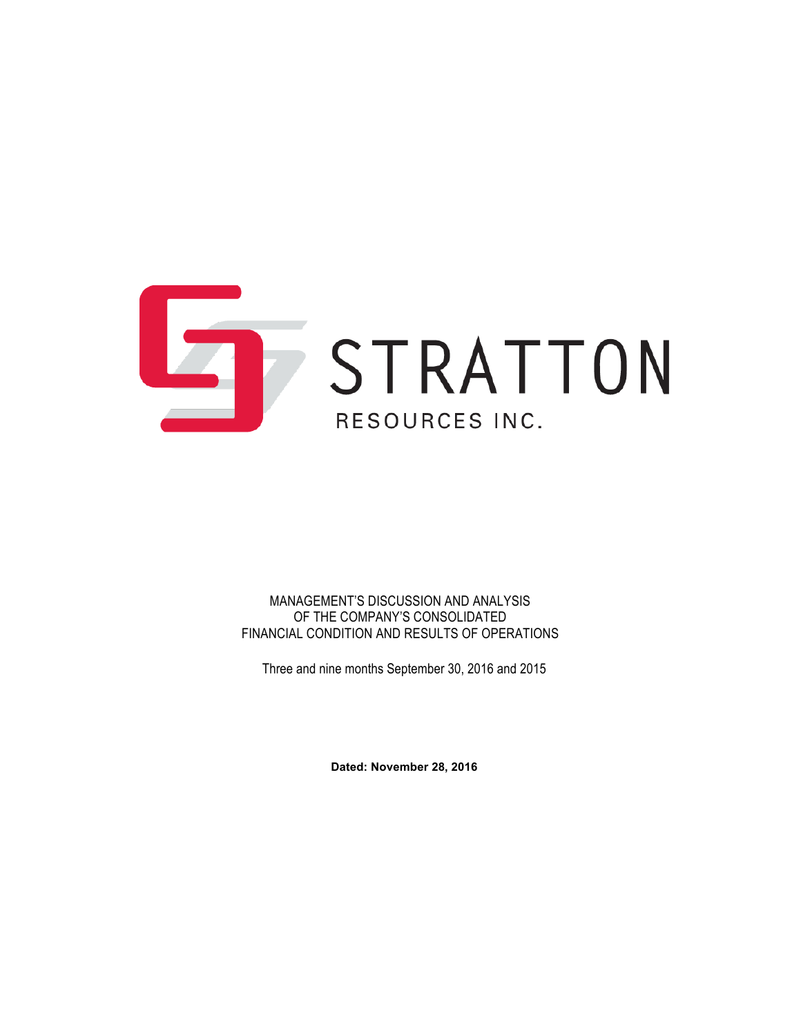

MANAGEMENT'S DISCUSSION AND ANALYSIS OF THE COMPANY'S CONSOLIDATED FINANCIAL CONDITION AND RESULTS OF OPERATIONS

Three and nine months September 30, 2016 and 2015

**Dated: November 28, 2016**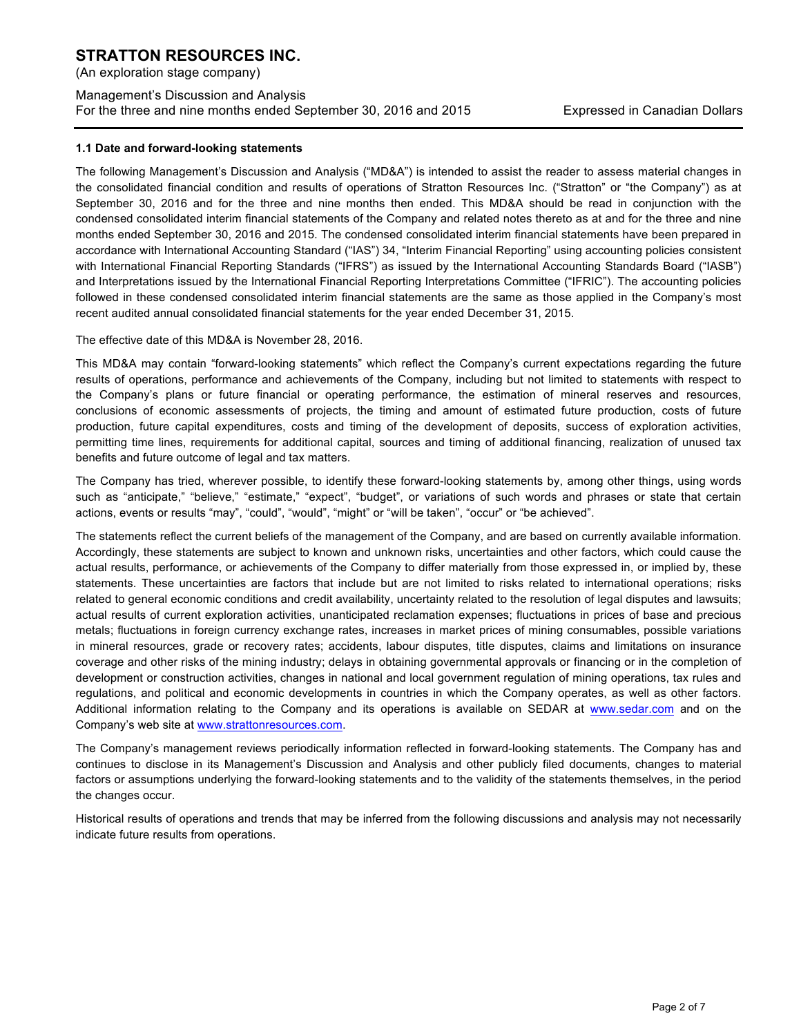(An exploration stage company)

## Management's Discussion and Analysis For the three and nine months ended September 30, 2016 and 2015 Expressed in Canadian Dollars

## **1.1 Date and forward-looking statements**

The following Management's Discussion and Analysis ("MD&A") is intended to assist the reader to assess material changes in the consolidated financial condition and results of operations of Stratton Resources Inc. ("Stratton" or "the Company") as at September 30, 2016 and for the three and nine months then ended. This MD&A should be read in conjunction with the condensed consolidated interim financial statements of the Company and related notes thereto as at and for the three and nine months ended September 30, 2016 and 2015. The condensed consolidated interim financial statements have been prepared in accordance with International Accounting Standard ("IAS") 34, "Interim Financial Reporting" using accounting policies consistent with International Financial Reporting Standards ("IFRS") as issued by the International Accounting Standards Board ("IASB") and Interpretations issued by the International Financial Reporting Interpretations Committee ("IFRIC"). The accounting policies followed in these condensed consolidated interim financial statements are the same as those applied in the Company's most recent audited annual consolidated financial statements for the year ended December 31, 2015.

The effective date of this MD&A is November 28, 2016.

This MD&A may contain "forward-looking statements" which reflect the Company's current expectations regarding the future results of operations, performance and achievements of the Company, including but not limited to statements with respect to the Company's plans or future financial or operating performance, the estimation of mineral reserves and resources, conclusions of economic assessments of projects, the timing and amount of estimated future production, costs of future production, future capital expenditures, costs and timing of the development of deposits, success of exploration activities, permitting time lines, requirements for additional capital, sources and timing of additional financing, realization of unused tax benefits and future outcome of legal and tax matters.

The Company has tried, wherever possible, to identify these forward-looking statements by, among other things, using words such as "anticipate," "believe," "estimate," "expect", "budget", or variations of such words and phrases or state that certain actions, events or results "may", "could", "would", "might" or "will be taken", "occur" or "be achieved".

The statements reflect the current beliefs of the management of the Company, and are based on currently available information. Accordingly, these statements are subject to known and unknown risks, uncertainties and other factors, which could cause the actual results, performance, or achievements of the Company to differ materially from those expressed in, or implied by, these statements. These uncertainties are factors that include but are not limited to risks related to international operations; risks related to general economic conditions and credit availability, uncertainty related to the resolution of legal disputes and lawsuits; actual results of current exploration activities, unanticipated reclamation expenses; fluctuations in prices of base and precious metals; fluctuations in foreign currency exchange rates, increases in market prices of mining consumables, possible variations in mineral resources, grade or recovery rates; accidents, labour disputes, title disputes, claims and limitations on insurance coverage and other risks of the mining industry; delays in obtaining governmental approvals or financing or in the completion of development or construction activities, changes in national and local government regulation of mining operations, tax rules and regulations, and political and economic developments in countries in which the Company operates, as well as other factors. Additional information relating to the Company and its operations is available on SEDAR at www.sedar.com and on the Company's web site at www.strattonresources.com.

The Company's management reviews periodically information reflected in forward-looking statements. The Company has and continues to disclose in its Management's Discussion and Analysis and other publicly filed documents, changes to material factors or assumptions underlying the forward-looking statements and to the validity of the statements themselves, in the period the changes occur.

Historical results of operations and trends that may be inferred from the following discussions and analysis may not necessarily indicate future results from operations.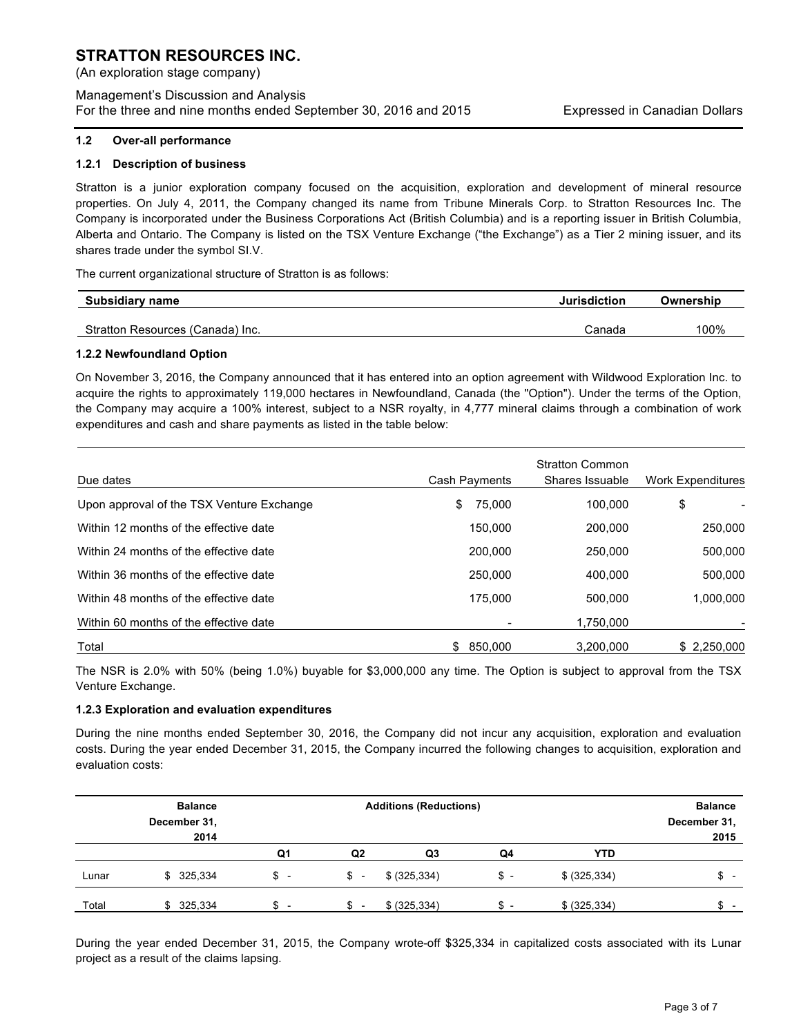(An exploration stage company)

Management's Discussion and Analysis For the three and nine months ended September 30, 2016 and 2015 Expressed in Canadian Dollars

#### **1.2 Over-all performance**

#### **1.2.1 Description of business**

Stratton is a junior exploration company focused on the acquisition, exploration and development of mineral resource properties. On July 4, 2011, the Company changed its name from Tribune Minerals Corp. to Stratton Resources Inc. The Company is incorporated under the Business Corporations Act (British Columbia) and is a reporting issuer in British Columbia, Alberta and Ontario. The Company is listed on the TSX Venture Exchange ("the Exchange") as a Tier 2 mining issuer, and its shares trade under the symbol SI.V.

The current organizational structure of Stratton is as follows:

| Subsidiary name                  | Jurisdiction | Ownership |
|----------------------------------|--------------|-----------|
| Stratton Resources (Canada) Inc. | Canada       | 100%      |
|                                  |              |           |

#### **1.2.2 Newfoundland Option**

On November 3, 2016, the Company announced that it has entered into an option agreement with Wildwood Exploration Inc. to acquire the rights to approximately 119,000 hectares in Newfoundland, Canada (the "Option"). Under the terms of the Option, the Company may acquire a 100% interest, subject to a NSR royalty, in 4,777 mineral claims through a combination of work expenditures and cash and share payments as listed in the table below:

| Due dates                                 | Cash Payments  | <b>Stratton Common</b><br>Shares Issuable | Work Expenditures |
|-------------------------------------------|----------------|-------------------------------------------|-------------------|
| Upon approval of the TSX Venture Exchange | 75.000<br>\$   | 100.000                                   | \$                |
| Within 12 months of the effective date    | 150.000        | 200.000                                   | 250,000           |
| Within 24 months of the effective date    | 200,000        | 250,000                                   | 500,000           |
| Within 36 months of the effective date    | 250,000        | 400,000                                   | 500.000           |
| Within 48 months of the effective date    | 175.000        | 500.000                                   | 1,000,000         |
| Within 60 months of the effective date    |                | 1.750.000                                 |                   |
| Total                                     | 850.000<br>\$. | 3.200.000                                 | \$2,250,000       |

The NSR is 2.0% with 50% (being 1.0%) buyable for \$3,000,000 any time. The Option is subject to approval from the TSX Venture Exchange.

## **1.2.3 Exploration and evaluation expenditures**

During the nine months ended September 30, 2016, the Company did not incur any acquisition, exploration and evaluation costs. During the year ended December 31, 2015, the Company incurred the following changes to acquisition, exploration and evaluation costs:

|       | <b>Balance</b> |      |                | <b>Additions (Reductions)</b> |                          |               | <b>Balance</b> |
|-------|----------------|------|----------------|-------------------------------|--------------------------|---------------|----------------|
|       | December 31,   |      |                |                               |                          |               | December 31,   |
|       | 2014           |      |                |                               |                          |               | 2015           |
|       |                | Q1   | Q <sub>2</sub> | Q3                            | Q4                       | <b>YTD</b>    |                |
| Lunar | \$ 325,334     | \$ - | \$ -           | \$ (325, 334)                 | \$ -                     | \$ (325, 334) | \$ -           |
| Total | \$325,334      |      |                | \$ (325, 334)                 | $\overline{\phantom{0}}$ | \$ (325, 334) | \$.            |

During the year ended December 31, 2015, the Company wrote-off \$325,334 in capitalized costs associated with its Lunar project as a result of the claims lapsing.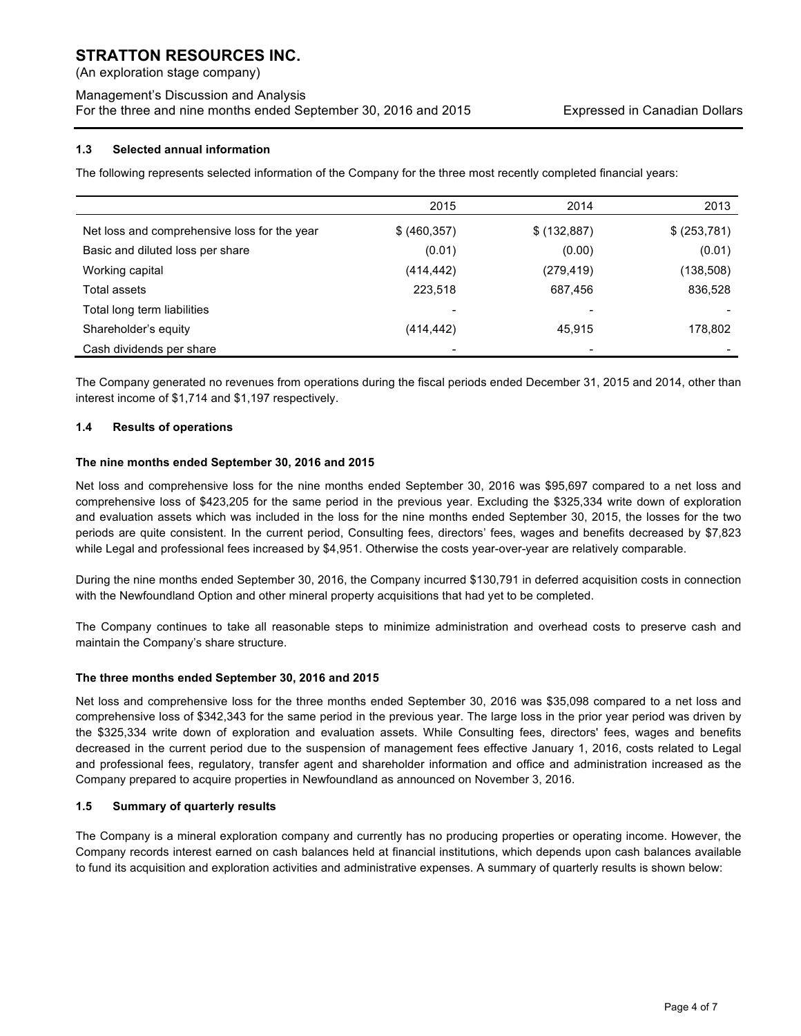(An exploration stage company)

## Management's Discussion and Analysis For the three and nine months ended September 30, 2016 and 2015 Expressed in Canadian Dollars

## **1.3 Selected annual information**

The following represents selected information of the Company for the three most recently completed financial years:

|                                              | 2015                     | 2014         | 2013         |
|----------------------------------------------|--------------------------|--------------|--------------|
| Net loss and comprehensive loss for the year | \$ (460, 357)            | \$ (132,887) | \$ (253,781) |
| Basic and diluted loss per share             | (0.01)                   | (0.00)       | (0.01)       |
| Working capital                              | (414, 442)               | (279, 419)   | (138, 508)   |
| Total assets                                 | 223,518                  | 687,456      | 836,528      |
| Total long term liabilities                  | -                        |              |              |
| Shareholder's equity                         | (414,442)                | 45,915       | 178,802      |
| Cash dividends per share                     | $\overline{\phantom{0}}$ |              |              |

The Company generated no revenues from operations during the fiscal periods ended December 31, 2015 and 2014, other than interest income of \$1,714 and \$1,197 respectively.

## **1.4 Results of operations**

## **The nine months ended September 30, 2016 and 2015**

Net loss and comprehensive loss for the nine months ended September 30, 2016 was \$95,697 compared to a net loss and comprehensive loss of \$423,205 for the same period in the previous year. Excluding the \$325,334 write down of exploration and evaluation assets which was included in the loss for the nine months ended September 30, 2015, the losses for the two periods are quite consistent. In the current period, Consulting fees, directors' fees, wages and benefits decreased by \$7,823 while Legal and professional fees increased by \$4,951. Otherwise the costs year-over-year are relatively comparable.

During the nine months ended September 30, 2016, the Company incurred \$130,791 in deferred acquisition costs in connection with the Newfoundland Option and other mineral property acquisitions that had yet to be completed.

The Company continues to take all reasonable steps to minimize administration and overhead costs to preserve cash and maintain the Company's share structure.

## **The three months ended September 30, 2016 and 2015**

Net loss and comprehensive loss for the three months ended September 30, 2016 was \$35,098 compared to a net loss and comprehensive loss of \$342,343 for the same period in the previous year. The large loss in the prior year period was driven by the \$325,334 write down of exploration and evaluation assets. While Consulting fees, directors' fees, wages and benefits decreased in the current period due to the suspension of management fees effective January 1, 2016, costs related to Legal and professional fees, regulatory, transfer agent and shareholder information and office and administration increased as the Company prepared to acquire properties in Newfoundland as announced on November 3, 2016.

## **1.5 Summary of quarterly results**

The Company is a mineral exploration company and currently has no producing properties or operating income. However, the Company records interest earned on cash balances held at financial institutions, which depends upon cash balances available to fund its acquisition and exploration activities and administrative expenses. A summary of quarterly results is shown below: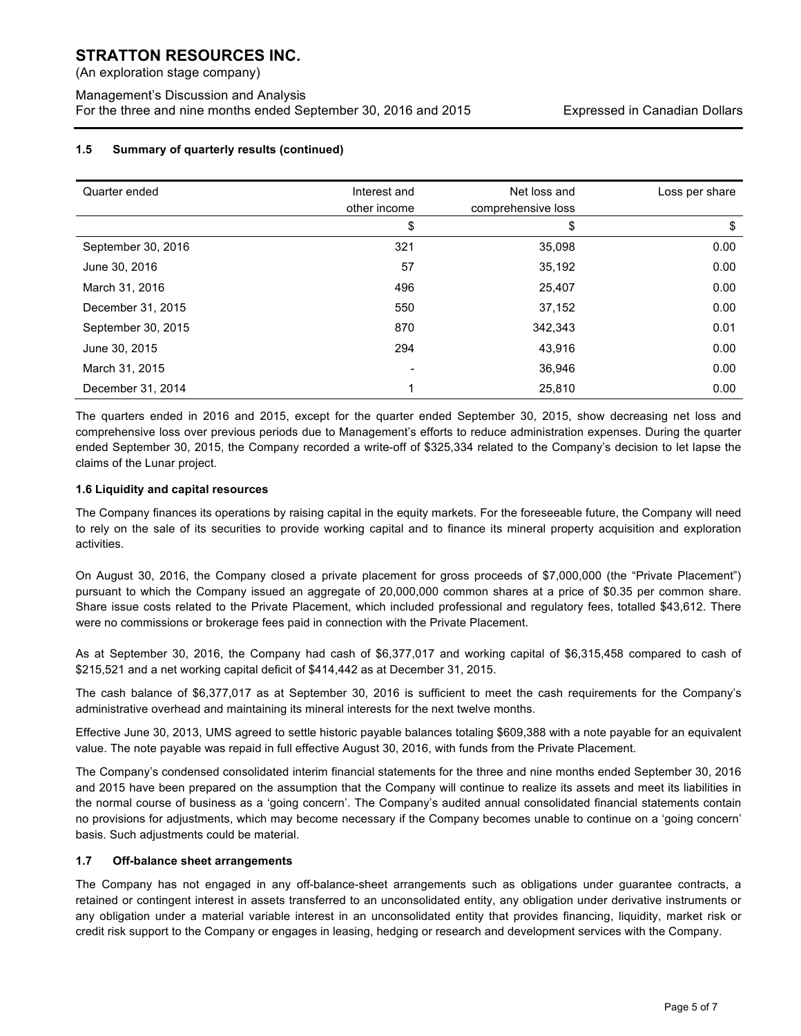(An exploration stage company)

Management's Discussion and Analysis For the three and nine months ended September 30, 2016 and 2015 Expressed in Canadian Dollars

## **1.5 Summary of quarterly results (continued)**

| Quarter ended      | Interest and<br>other income | Net loss and<br>comprehensive loss | Loss per share |
|--------------------|------------------------------|------------------------------------|----------------|
|                    | \$                           | \$                                 | \$             |
| September 30, 2016 | 321                          | 35,098                             | 0.00           |
| June 30, 2016      | 57                           | 35,192                             | 0.00           |
| March 31, 2016     | 496                          | 25,407                             | 0.00           |
| December 31, 2015  | 550                          | 37,152                             | 0.00           |
| September 30, 2015 | 870                          | 342,343                            | 0.01           |
| June 30, 2015      | 294                          | 43,916                             | 0.00           |
| March 31, 2015     |                              | 36,946                             | 0.00           |
| December 31, 2014  |                              | 25.810                             | 0.00           |

The quarters ended in 2016 and 2015, except for the quarter ended September 30, 2015, show decreasing net loss and comprehensive loss over previous periods due to Management's efforts to reduce administration expenses. During the quarter ended September 30, 2015, the Company recorded a write-off of \$325,334 related to the Company's decision to let lapse the claims of the Lunar project.

## **1.6 Liquidity and capital resources**

The Company finances its operations by raising capital in the equity markets. For the foreseeable future, the Company will need to rely on the sale of its securities to provide working capital and to finance its mineral property acquisition and exploration activities.

On August 30, 2016, the Company closed a private placement for gross proceeds of \$7,000,000 (the "Private Placement") pursuant to which the Company issued an aggregate of 20,000,000 common shares at a price of \$0.35 per common share. Share issue costs related to the Private Placement, which included professional and regulatory fees, totalled \$43,612. There were no commissions or brokerage fees paid in connection with the Private Placement.

As at September 30, 2016, the Company had cash of \$6,377,017 and working capital of \$6,315,458 compared to cash of \$215,521 and a net working capital deficit of \$414,442 as at December 31, 2015.

The cash balance of \$6,377,017 as at September 30, 2016 is sufficient to meet the cash requirements for the Company's administrative overhead and maintaining its mineral interests for the next twelve months.

Effective June 30, 2013, UMS agreed to settle historic payable balances totaling \$609,388 with a note payable for an equivalent value. The note payable was repaid in full effective August 30, 2016, with funds from the Private Placement.

The Company's condensed consolidated interim financial statements for the three and nine months ended September 30, 2016 and 2015 have been prepared on the assumption that the Company will continue to realize its assets and meet its liabilities in the normal course of business as a 'going concern'. The Company's audited annual consolidated financial statements contain no provisions for adjustments, which may become necessary if the Company becomes unable to continue on a 'going concern' basis. Such adjustments could be material.

## **1.7 Off-balance sheet arrangements**

The Company has not engaged in any off-balance-sheet arrangements such as obligations under guarantee contracts, a retained or contingent interest in assets transferred to an unconsolidated entity, any obligation under derivative instruments or any obligation under a material variable interest in an unconsolidated entity that provides financing, liquidity, market risk or credit risk support to the Company or engages in leasing, hedging or research and development services with the Company.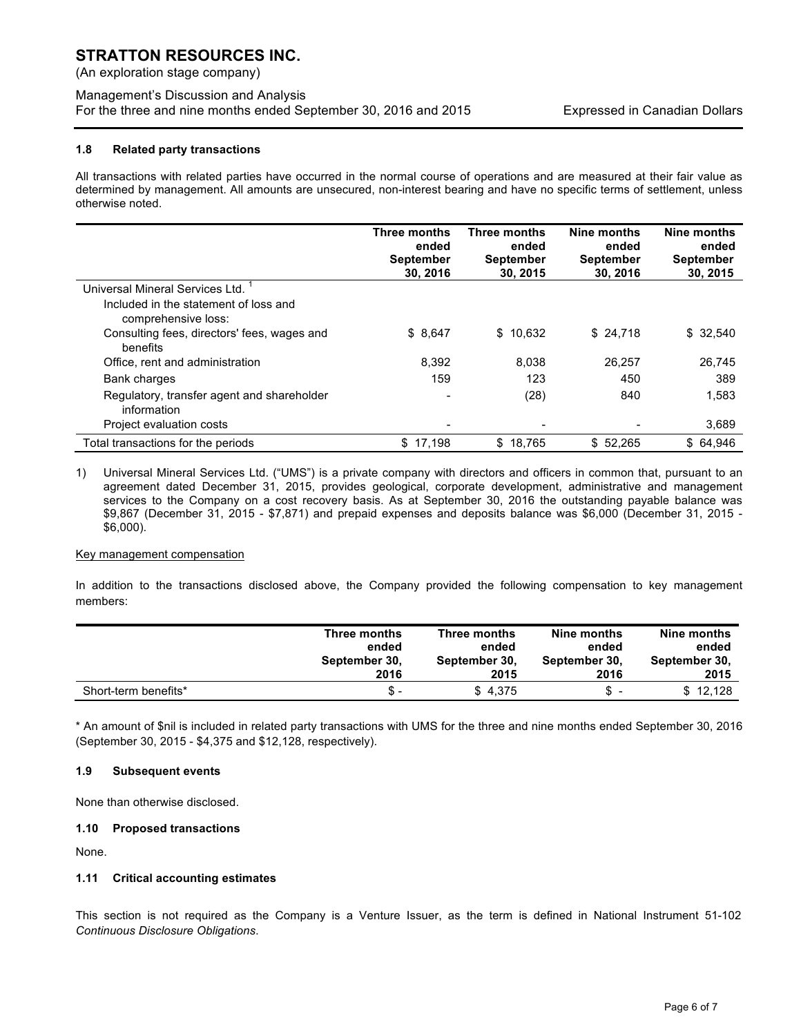(An exploration stage company)

## Management's Discussion and Analysis For the three and nine months ended September 30, 2016 and 2015 Expressed in Canadian Dollars

## **1.8 Related party transactions**

All transactions with related parties have occurred in the normal course of operations and are measured at their fair value as determined by management. All amounts are unsecured, non-interest bearing and have no specific terms of settlement, unless otherwise noted.

|                                                              | Three months<br>ended<br><b>September</b><br>30, 2016 | Three months<br>ended<br><b>September</b><br>30, 2015 | Nine months<br>ended<br><b>September</b><br>30, 2016 | Nine months<br>ended<br><b>September</b><br>30, 2015 |
|--------------------------------------------------------------|-------------------------------------------------------|-------------------------------------------------------|------------------------------------------------------|------------------------------------------------------|
| Universal Mineral Services Ltd.                              |                                                       |                                                       |                                                      |                                                      |
| Included in the statement of loss and<br>comprehensive loss: |                                                       |                                                       |                                                      |                                                      |
| Consulting fees, directors' fees, wages and<br>benefits      | \$8.647                                               | \$10,632                                              | \$24,718                                             | \$ 32.540                                            |
| Office, rent and administration                              | 8.392                                                 | 8,038                                                 | 26.257                                               | 26.745                                               |
| Bank charges                                                 | 159                                                   | 123                                                   | 450                                                  | 389                                                  |
| Regulatory, transfer agent and shareholder<br>information    |                                                       | (28)                                                  | 840                                                  | 1.583                                                |
| Project evaluation costs                                     |                                                       | $\overline{\phantom{a}}$                              |                                                      | 3,689                                                |
| Total transactions for the periods                           | \$17,198                                              | \$18,765                                              | \$52,265                                             | \$ 64,946                                            |

1) Universal Mineral Services Ltd. ("UMS") is a private company with directors and officers in common that, pursuant to an agreement dated December 31, 2015, provides geological, corporate development, administrative and management services to the Company on a cost recovery basis. As at September 30, 2016 the outstanding payable balance was \$9,867 (December 31, 2015 - \$7,871) and prepaid expenses and deposits balance was \$6,000 (December 31, 2015 - \$6,000).

## Key management compensation

In addition to the transactions disclosed above, the Company provided the following compensation to key management members:

|                      | Three months  | Three months  | Nine months   | Nine months   |
|----------------------|---------------|---------------|---------------|---------------|
|                      | ended         | ended         | ended         | ended         |
|                      | September 30, | September 30, | September 30. | September 30. |
|                      | 2016          | 2015          | 2016          | 2015          |
| Short-term benefits* | S –           | \$4.375       | \$ -          | \$12,128      |

\* An amount of \$nil is included in related party transactions with UMS for the three and nine months ended September 30, 2016 (September 30, 2015 - \$4,375 and \$12,128, respectively).

## **1.9 Subsequent events**

None than otherwise disclosed.

## **1.10 Proposed transactions**

None.

## **1.11 Critical accounting estimates**

This section is not required as the Company is a Venture Issuer, as the term is defined in National Instrument 51-102 *Continuous Disclosure Obligations*.